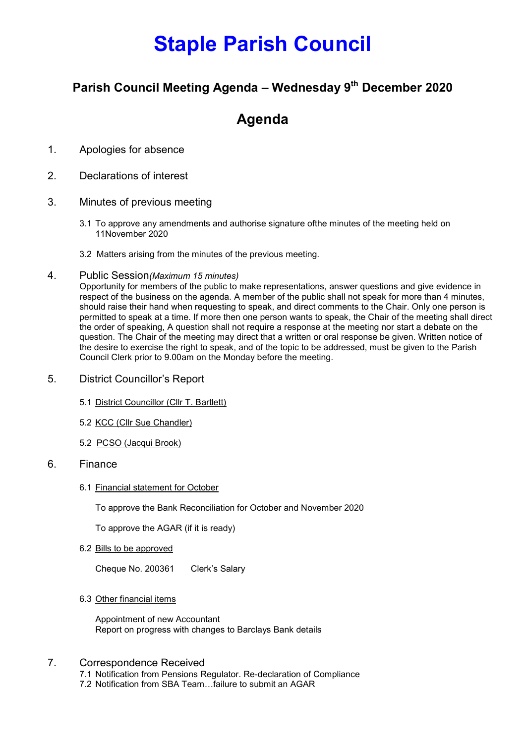# Staple Parish Council

### Parish Council Meeting Agenda – Wednesday 9<sup>th</sup> December 2020

## Agenda

- 1. Apologies for absence
- 2. Declarations of interest
- 3. Minutes of previous meeting
	- 3.1 To approve any amendments and authorise signature ofthe minutes of the meeting held on 11November 2020
	- 3.2 Matters arising from the minutes of the previous meeting.
- 4. Public Session(Maximum 15 minutes)

Opportunity for members of the public to make representations, answer questions and give evidence in respect of the business on the agenda. A member of the public shall not speak for more than 4 minutes, should raise their hand when requesting to speak, and direct comments to the Chair. Only one person is permitted to speak at a time. If more then one person wants to speak, the Chair of the meeting shall direct the order of speaking, A question shall not require a response at the meeting nor start a debate on the question. The Chair of the meeting may direct that a written or oral response be given. Written notice of the desire to exercise the right to speak, and of the topic to be addressed, must be given to the Parish Council Clerk prior to 9.00am on the Monday before the meeting.

- 5. District Councillor's Report
	- 5.1 District Councillor (Cllr T. Bartlett)
	- 5.2 KCC (Cllr Sue Chandler)
	- 5.2 PCSO (Jacqui Brook)

#### 6. Finance

6.1 Financial statement for October

To approve the Bank Reconciliation for October and November 2020

To approve the AGAR (if it is ready)

6.2 Bills to be approved

Cheque No. 200361 Clerk's Salary

6.3 Other financial items

Appointment of new Accountant Report on progress with changes to Barclays Bank details

#### 7. Correspondence Received

7.1 Notification from Pensions Regulator. Re-declaration of Compliance 7.2 Notification from SBA Team…failure to submit an AGAR